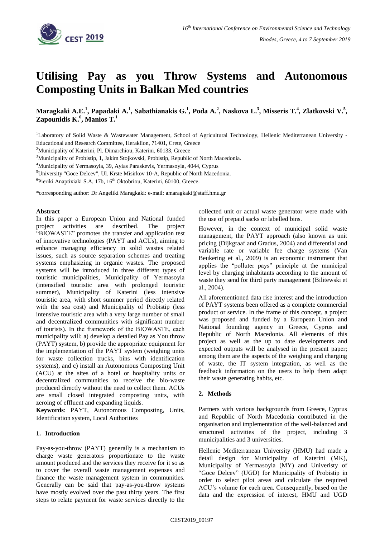

# **Utilising Pay as you Throw Systems and Autonomous Composting Units in Balkan Med countries**

Maragkaki A.E.<sup>1</sup>, Papadaki A.<sup>1</sup>, Sabathianakis G.<sup>1</sup>, Poda A.<sup>2</sup>, Naskova L.<sup>3</sup>, Misseris T.<sup>4</sup>, Zlatkovski V.<sup>5</sup>, **Zapounidis K.<sup>6</sup> , Manios T.<sup>1</sup>**

<sup>1</sup>Laboratory of Solid Waste & Wastewater Management, School of Agricultural Technology, Hellenic Mediterranean University -Educational and Research Committee, Heraklion, 71401, Crete, Greece

<sup>2</sup>Municipality of Katerini, Pl. Dimarchiou, Katerini, 60133, Greece

<sup>3</sup>Municipality of Probistip, 1, Jakim Stojkovski, Probistip, Republic of North Macedonia.

<sup>4</sup>Municipality of Yermasoyia, 39, Ayias Paraskevis, Yermasoyia, 4044, Cyprus

<sup>5</sup>University "Goce Delcev", Ul. Krste Misirkov 10-A, Republic of North Macedonia.

<sup>6</sup>Pieriki Anaptixiaki S.A, 17b, 16<sup>th</sup> Oktobriou, Katerini, 60100, Greece.

\*corresponding author: Dr Angeliki Maragkaki: e-mail: amaragkaki@staff.hmu.gr

# **Abstract**

In this paper a European Union and National funded project activities are described. The project "BIOWASTE" promotes the transfer and application test of innovative technologies (PAYT and ACUs), aiming to enhance managing efficiency in solid wastes related issues, such as source separation schemes and treating systems emphasizing in organic wastes. The proposed systems will be introduced in three different types of touristic municipalities, Municipality of Yermasoyia (intensified touristic area with prolonged touristic summer), Municipality of Katerini (less intensive touristic area, with short summer period directly related with the sea cost) and Municipality of Probistip (less intensive touristic area with a very large number of small and decentralized communities with significant number of tourists). Ιn the framework of the BIOWASTE, each municipality will: a) develop a detailed Pay as You throw (PAYT) system, b) provide the appropriate equipment for the implementation of the PAYT system (weighing units for waste collection trucks, bins with identification systems), and c) install an Autonomous Composting Unit (ACU) at the sites of a hotel or hospitality units or decentralized communities to receive the bio-waste produced directly without the need to collect them. ACUs are small closed integrated composting units, with zeroing of effluent and expanding liquids.

**Keywords**: PAYT, Autonomous Composting, Units, Identification system, Local Authorities

# **1. Introduction**

Pay-as-you-throw (PAYT) generally is a mechanism to charge waste generators proportionate to the waste amount produced and the services they receive for it so as to cover the overall waste management expenses and finance the waste management system in communities. Generally can be said that pay-as-you-throw systems have mostly evolved over the past thirty years. The first steps to relate payment for waste services directly to the collected unit or actual waste generator were made with the use of prepaid sacks or labelled bins.

However, in the context of municipal solid waste management, the PAYT approach (also known as unit pricing (Dijkgraaf and Gradus, 2004) and differential and variable rate or variable fee charge systems (Van Beukering et al., 2009) is an economic instrument that applies the "polluter pays" principle at the municipal level by charging inhabitants according to the amount of waste they send for third party management (Bilitewski et al., 2004).

All aforementioned data rise interest and the introduction of PAYT systems been offered as a complete commercial product or service. In the frame of this concept, a project was proposed and funded by a European Union and National founding agency in Greece, Cyprus and Republic of North Macedonia. All elements of this project as well as the up to date developments and expected outputs will be analysed in the present paper; among them are the aspects of the weighing and charging of waste, the IT system integration, as well as the feedback information on the users to help them adapt their waste generating habits, etc.

# **2. Methods**

Partners with various backgrounds from Greece, Cyprus and Republic of North Macedonia contributed in the organisation and implementation of the well-balanced and structured activities of the project, including 3 municipalities and 3 universities.

Hellenic Mediterranean University (HMU) had made a detail design for Municipality of Katerini (MK), Municipality of Yermasoyia (MY) and Univeristy of "Goce Delcev" (UGD) for Municipality of Probistip in order to select pilot areas and calculate the required ACU's volume for each area. Consequently, based on the data and the expression of interest, HMU and UGD